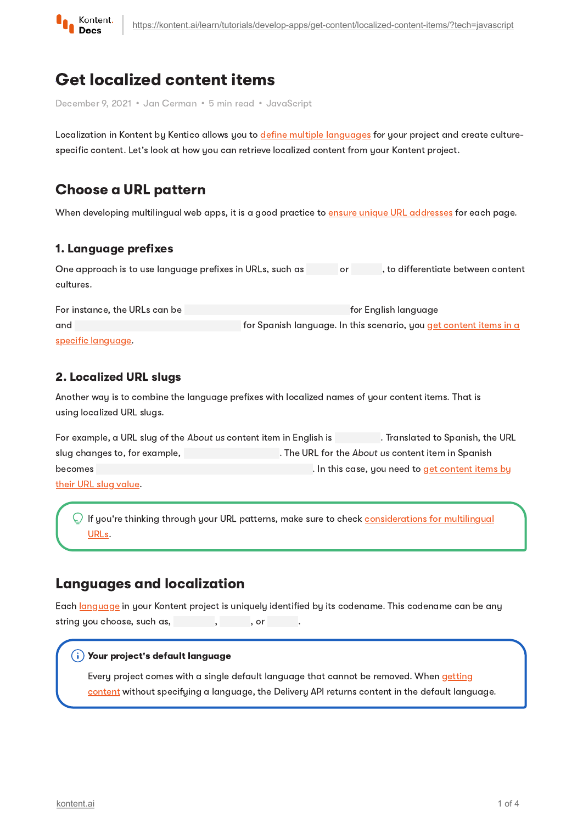

# Get localized content items

December 9, 2021 • Jan Cerman • 5 min read • JavaScript

Localization in Kontent by Kentico allows you to define multiple [languages](https://kontent.ai/learn/tutorials/manage-kontent/projects/set-up-languages/) for your project and create culturespecific content. Let's look at how you can retrieve localized content from your Kontent project.

## Choose a URL pattern

When developing multilingual web apps, it is a good practice to ensure unique URL [addresses](https://kontent.ai/learn/tutorials/develop-apps/build-strong-foundation/routing-and-urls/#a-choose-your-url-structure) for each page.

#### 1. Language prefixes

| One approach is to use language prefixes in URLs, such as |  | , to differentiate between content |
|-----------------------------------------------------------|--|------------------------------------|
| cultures.                                                 |  |                                    |

For instance, the URLs can be for English language for English language and for Spanish language. In this scenario, you get content items in a specific [language.](#page-1-1)

#### 2. Localized URL slugs

Another way is to combine the language prefixes with localized names of your content items. That is using localized URL slugs.

| For example, a URL slug of the About us content item in English is | . Translated to Spanish, the URL                   |
|--------------------------------------------------------------------|----------------------------------------------------|
| slug changes to, for example,                                      | . The URL for the About us content item in Spanish |
| becomes                                                            | . In this case, you need to get content items by   |
| <u>their URL slug value.</u>                                       |                                                    |

 $\subseteq$  If you're thinking through your URL patterns, make sure to check <u>[considerations](https://kontent.ai/learn/tutorials/develop-apps/build-strong-foundation/routing-and-urls/#a-considerations-for-multilingual-urls) for multilingual</u> URLs.

### Languages and localization

Each [language](https://kontent.ai/learn/tutorials/manage-kontent/projects/set-up-languages/) in your Kontent project is uniquely identified by its codename. This codename can be any string you choose, such as, he has been been been as a set of  $\alpha$ .

#### $(\boldsymbol{\mathsf{i}})$  Your project's default language

Every project comes with a single default language that cannot be removed. When getting content without [specifying](https://kontent.ai/learn/tutorials/develop-apps/get-content/get-content-items/) a language, the Delivery API returns content in the default language.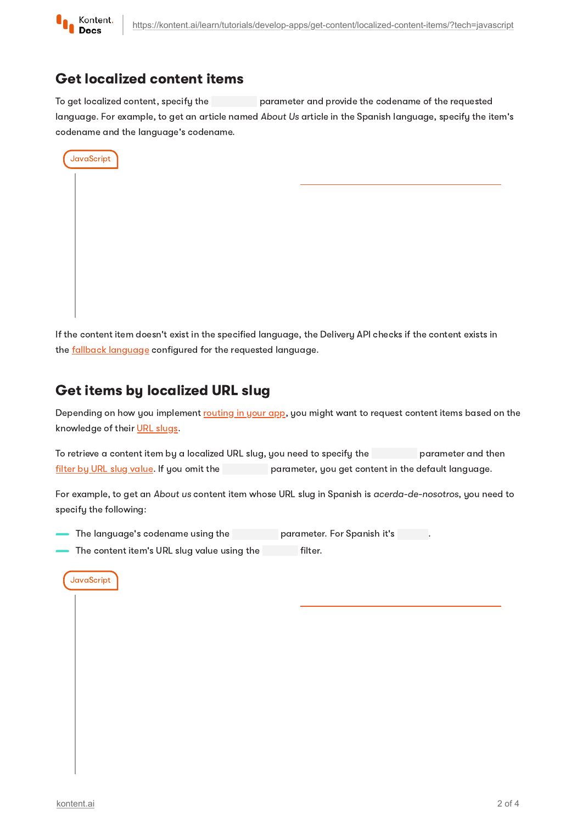

### <span id="page-1-1"></span>Get localized content items

To get localized content, specify the parameter and provide the codename of the requested language. For example, to get an article named About Us article in the Spanish language, specify the item's codename and the language's codename.

| JavaScript |  |  |
|------------|--|--|
|            |  |  |
|            |  |  |
|            |  |  |
|            |  |  |
|            |  |  |
|            |  |  |
|            |  |  |

If the content item doesn't exist in the specified language, the Delivery API checks if the content exists in the **fallback [language](https://kontent.ai/learn/tutorials/manage-kontent/projects/set-up-languages/#a-language-fallbacks)** configured for the requested language.

# <span id="page-1-0"></span>Get items by localized URL slug

Depending on how you implement [routing](https://kontent.ai/learn/tutorials/develop-apps/build-strong-foundation/routing-and-urls/) in your app, you might want to request content items based on the knowledge of their URL [slugs.](https://kontent.ai/learn/tutorials/develop-apps/optimize-your-app/seo-friendly-urls/)

To retrieve a content item by a localized URL slug, you need to specify the parameter and then filter by URL slug [value.](https://kontent.ai/learn/tutorials/develop-apps/get-content/filter-content-items-examples/) If you omit the parameter, you get content in the default language.

For example, to get an About us content item whose URL slug in Spanish is acerda-de-nosotros, you need to specify the following:

- The language's codename using the parameter. For Spanish it's .
- The content item's URL slug value using the **Filter**.

#### **JavaScript**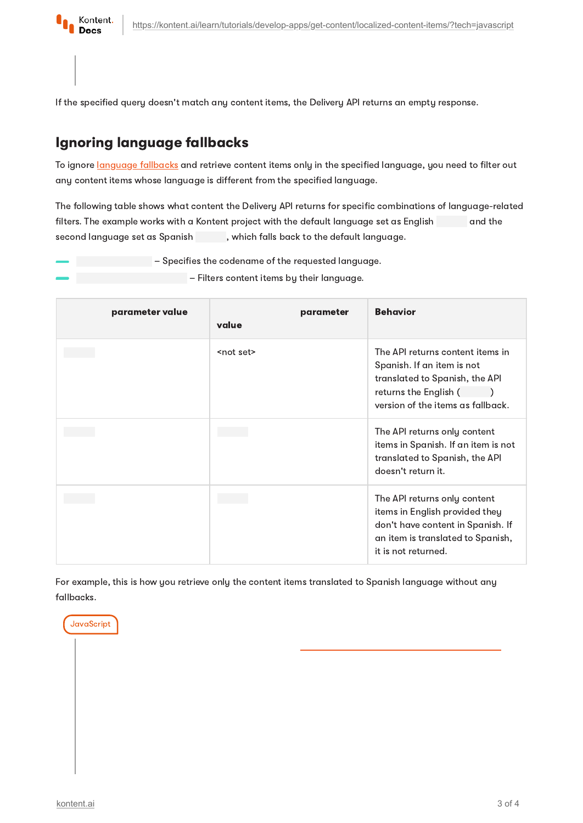

If the specified query doesn't match any content items, the Delivery API returns an empty response.

## Ignoring language fallbacks

To ignore [language](https://kontent.ai/learn/tutorials/manage-kontent/projects/set-up-languages/#a-language-fallbacks) fallbacks and retrieve content items only in the specified language, you need to filter out any content items whose language is different from the specified language.

The following table shows what content the Delivery API returns for specific combinations of language-related filters. The example works with a Kontent project with the default language set as English and the second language set as Spanish , which falls back to the default language.

– Specifies the codename of the requested language.

– Filters content items by their language.

| parameter value | value              | parameter | <b>Behavior</b>                                                                                                                                                 |
|-----------------|--------------------|-----------|-----------------------------------------------------------------------------------------------------------------------------------------------------------------|
|                 | <not set=""></not> |           | The API returns content items in<br>Spanish. If an item is not<br>translated to Spanish, the API<br>returns the English (<br>version of the items as fallback.  |
|                 |                    |           | The API returns only content<br>items in Spanish. If an item is not<br>translated to Spanish, the API<br>doesn't return it.                                     |
|                 |                    |           | The API returns only content<br>items in English provided they<br>don't have content in Spanish. If<br>an item is translated to Spanish,<br>it is not returned. |

For example, this is how you retrieve only the content items translated to Spanish language without any fallbacks.